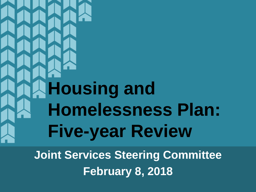# **Housing and Homelessness Plan: Five-year Review**

**Joint Services Steering Committee February 8, 2018**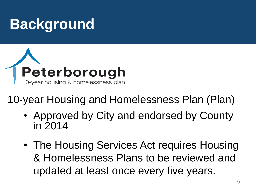#### **Background**



10-year Housing and Homelessness Plan (Plan)

- Approved by City and endorsed by County in 2014
- The Housing Services Act requires Housing & Homelessness Plans to be reviewed and updated at least once every five years.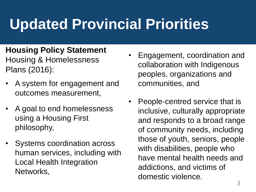## **Updated Provincial Priorities**

- **Housing Policy Statement**  Housing & Homelessness Plans (2016):
- A system for engagement and outcomes measurement,
- A goal to end homelessness using a Housing First philosophy,
- Systems coordination across human services, including with Local Health Integration Networks,
- Engagement, coordination and collaboration with Indigenous peoples, organizations and communities, and
- People-centred service that is inclusive, culturally appropriate and responds to a broad range of community needs, including those of youth, seniors, people with disabilities, people who have mental health needs and addictions, and victims of domestic violence.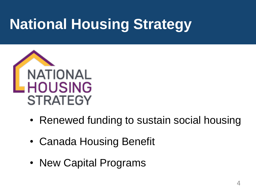### **National Housing Strategy**



- Renewed funding to sustain social housing
- Canada Housing Benefit
- New Capital Programs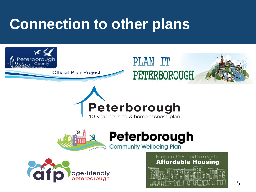#### **Connection to other plans**









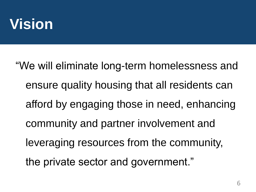#### **Vision**

"We will eliminate long-term homelessness and ensure quality housing that all residents can afford by engaging those in need, enhancing community and partner involvement and leveraging resources from the community, the private sector and government."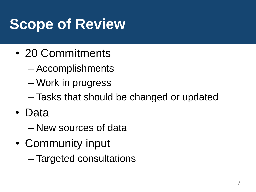### **Scope of Review**

- 20 Commitments
	- Accomplishments
	- Work in progress
	- Tasks that should be changed or updated
- Data
	- New sources of data
- Community input
	- Targeted consultations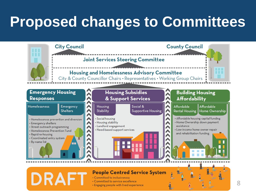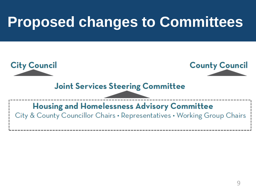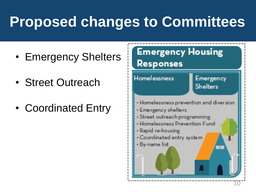- Emergency Shelters
- Street Outreach
- Coordinated Entry

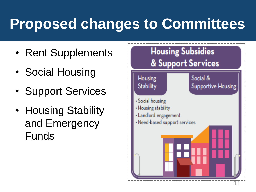- Rent Supplements
- Social Housing
- Support Services
- Housing Stability and Emergency Funds

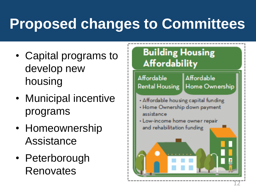- Capital programs to develop new housing
- Municipal incentive programs
- Homeownership Assistance
- Peterborough Renovates

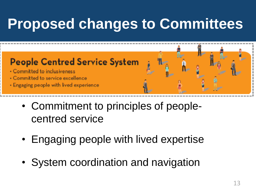#### **People Centred Service System**

- · Committed to inclusiveness
- · Committed to service excellence
- Engaging people with lived experience
	- Commitment to principles of peoplecentred service
	- Engaging people with lived expertise
	- System coordination and navigation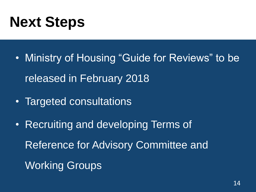#### **Next Steps**

- Ministry of Housing "Guide for Reviews" to be released in February 2018
- Targeted consultations
- Recruiting and developing Terms of Reference for Advisory Committee and Working Groups